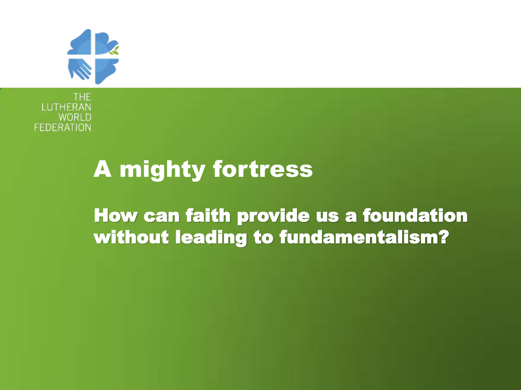

THE **LUTHERA WORLE FEDERATION** 

#### A mighty fortress

How can faith provide us a foundation without leading to fundamentalism?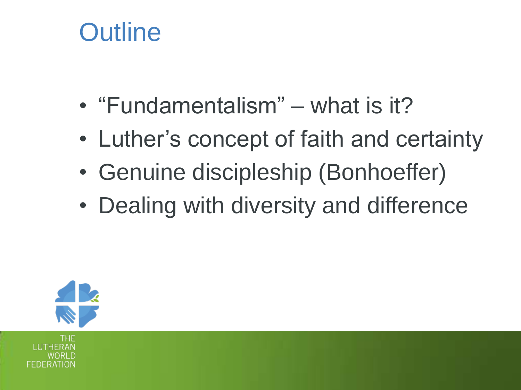### **Outline**

- "Fundamentalism" what is it?
- Luther's concept of faith and certainty
- Genuine discipleship (Bonhoeffer)
- Dealing with diversity and difference

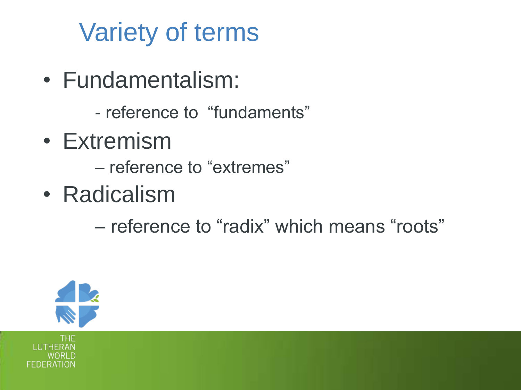# Variety of terms

- Fundamentalism:
	- reference to "fundaments"
- Extremism
	- reference to "extremes"
- Radicalism
	- reference to "radix" which means "roots"



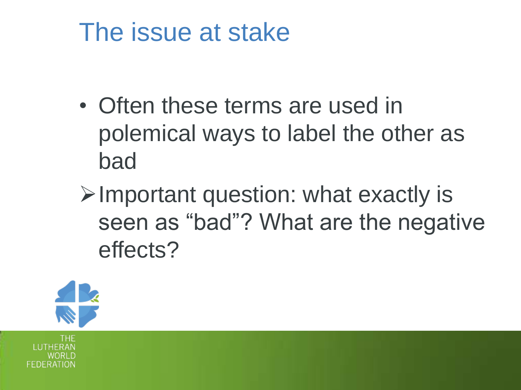### The issue at stake

- Often these terms are used in polemical ways to label the other as bad
- $\triangleright$  Important question: what exactly is seen as "bad"? What are the negative effects?

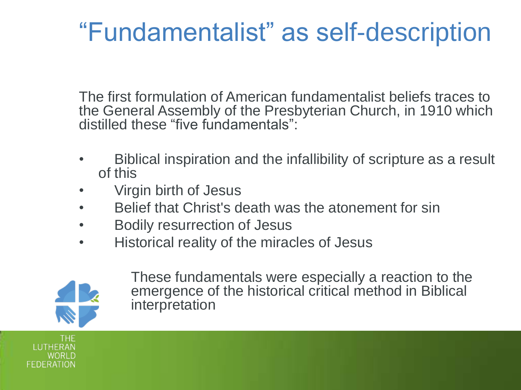## "Fundamentalist" as self-description

The first formulation of American fundamentalist beliefs traces to the General Assembly of the Presbyterian Church, in 1910 which distilled these "five fundamentals":

- Biblical inspiration and the infallibility of scripture as a result of this
- Virgin birth of Jesus
- Belief that Christ's death was the atonement for sin
- Bodily resurrection of Jesus
- Historical reality of the miracles of Jesus



These fundamentals were especially a reaction to the emergence of the historical critical method in Biblical interpretation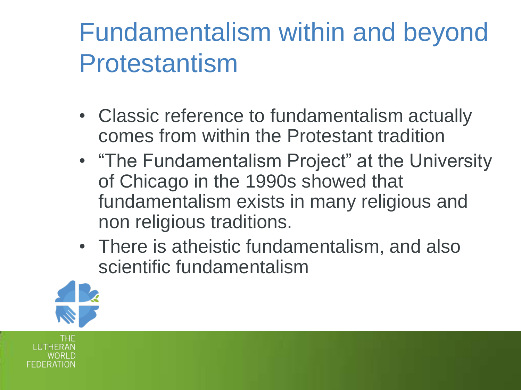## Fundamentalism within and beyond Protestantism

- Classic reference to fundamentalism actually comes from within the Protestant tradition
- "The Fundamentalism Project" at the University of Chicago in the 1990s showed that fundamentalism exists in many religious and non religious traditions.
- There is atheistic fundamentalism, and also scientific fundamentalism

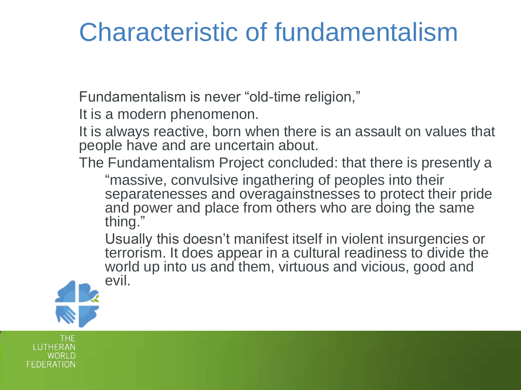### Characteristic of fundamentalism

Fundamentalism is never "old-time religion,"

It is a modern phenomenon.

It is always reactive, born when there is an assault on values that people have and are uncertain about.

The Fundamentalism Project concluded: that there is presently a

"massive, convulsive ingathering of peoples into their separatenesses and overagainstnesses to protect their pride and power and place from others who are doing the same thing."

Usually this doesn't manifest itself in violent insurgencies or terrorism. It does appear in a cultural readiness to divide the world up into us and them, virtuous and vicious, good and evil.

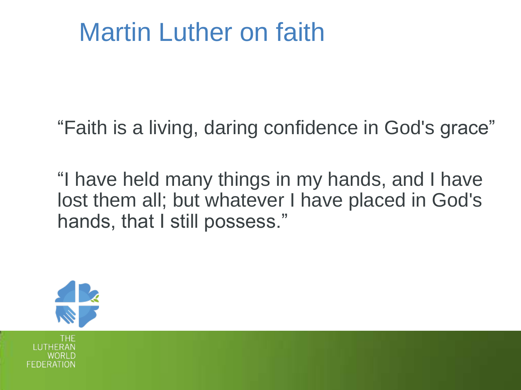### Martin Luther on faith

"Faith is a living, daring confidence in God's grace"

"I have held many things in my hands, and I have lost them all; but whatever I have placed in God's hands, that I still possess."

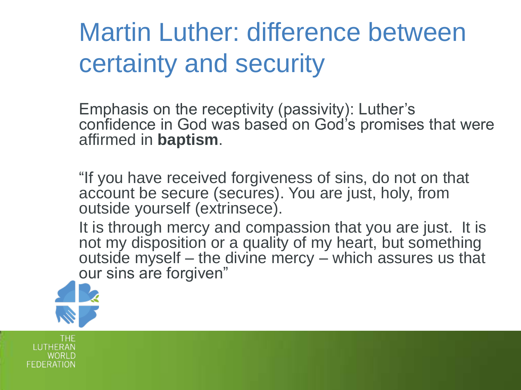Martin Luther: difference between certainty and security

Emphasis on the receptivity (passivity): Luther's confidence in God was based on God's promises that were affirmed in **baptism**.

"If you have received forgiveness of sins, do not on that account be secure (secures). You are just, holy, from outside yourself (extrinsece).

It is through mercy and compassion that you are just. It is not my disposition or a quality of my heart, but something outside myself – the divine mercy – which assures us that our sins are forgiven"

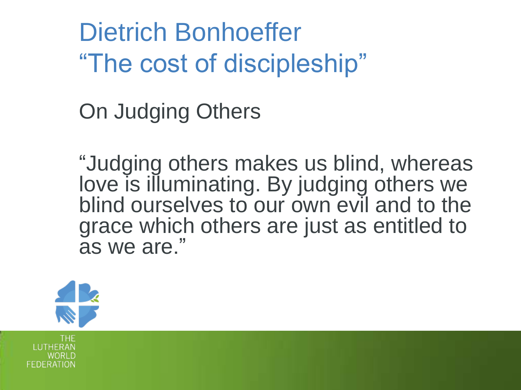Dietrich Bonhoeffer "The cost of discipleship"

On Judging Others

"Judging others makes us blind, whereas love is illuminating. By judging others we blind ourselves to our own evil and to the grace which others are just as entitled to as we are."

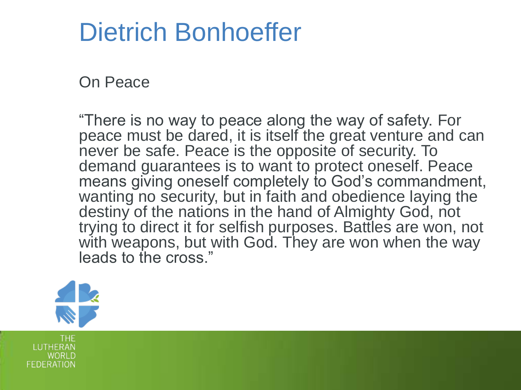### Dietrich Bonhoeffer

On Peace

"There is no way to peace along the way of safety. For peace must be dared, it is itself the great venture and can never be safe. Peace is the opposite of security. To demand guarantees is to want to protect oneself. Peace means giving oneself completely to God's commandment, wanting no security, but in faith and obedience laying the destiny of the nations in the hand of Almighty God, not trying to direct it for selfish purposes. Battles are won, not with weapons, but with God. They are won when the way leads to the cross."

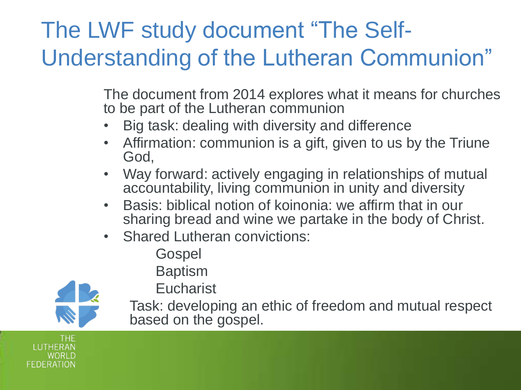### The LWF study document "The Self-Understanding of the Lutheran Communion"

The document from 2014 explores what it means for churches to be part of the Lutheran communion

- Big task: dealing with diversity and difference
- Affirmation: communion is a gift, given to us by the Triune God,
- Way forward: actively engaging in relationships of mutual accountability, living communion in unity and diversity
- Basis: biblical notion of koinonia: we affirm that in our sharing bread and wine we partake in the body of Christ.
- Shared Lutheran convictions:
	- Gospel
	- Baptism



**Eucharist** 

Task: developing an ethic of freedom and mutual respect based on the gospel.